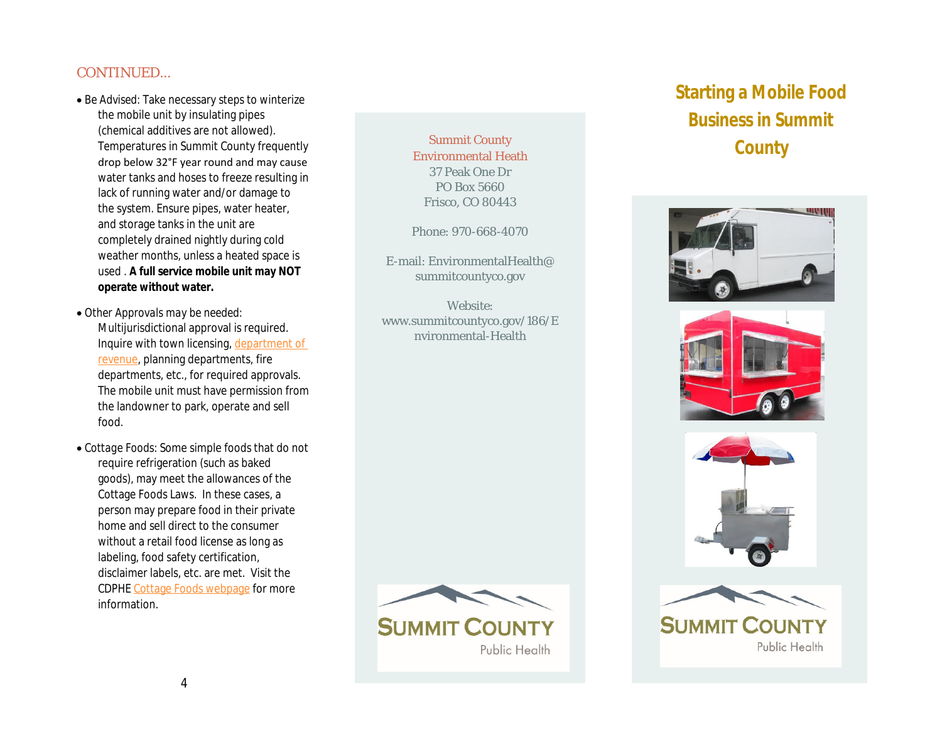#### CONTINUED…

- *Be Advised*: Take necessary steps to winterize the mobile unit by insulating pipes (chemical additives are not [allowed\).](https://cdor.colorado.gov/)  Temperatures in Summit County frequently drop below 32°F year round and may cause water tanks and hoses to freeze resulting in lack of running water and/or damage to the system. Ensure pipes, water heater, and storage tanks in the unit are completely drained nightly during cold weather months, unless a heated space is used . **A full service mobile unit may NOT operate without water.**
- *Other Approvals may be needed:*  Multijurisdictional approval is required. Inquire with town licensing, department of revenue, planning departments, fire depart[ments, etc., for required](https://cdphe.colorado.gov/cottage-foods-act) approvals. The mobile unit must have permission from the landowner to park, operate and sell food.
- *Cottage Foods:* Some simple foods that do not require refrigeration (such as baked goods), may meet the allowances of the Cottage Foods Laws. In these cases, a person may prepare food in their private home and sell direct to the consumer without a retail food license as long as labeling, food safety certification, disclaimer labels, etc. are met. Visit the CDPHE Cottage Foods webpage for more information.

Summit County Environmental Heath 37 Peak One Dr PO Box 5660 Frisco, CO 80443

Phone: 970-668-4070

E-mail: EnvironmentalHealth@ summitcountyco.gov

Website: www.summitcountyco.gov/186/E nvironmental-Health



Public Health

# **Starting Busin**